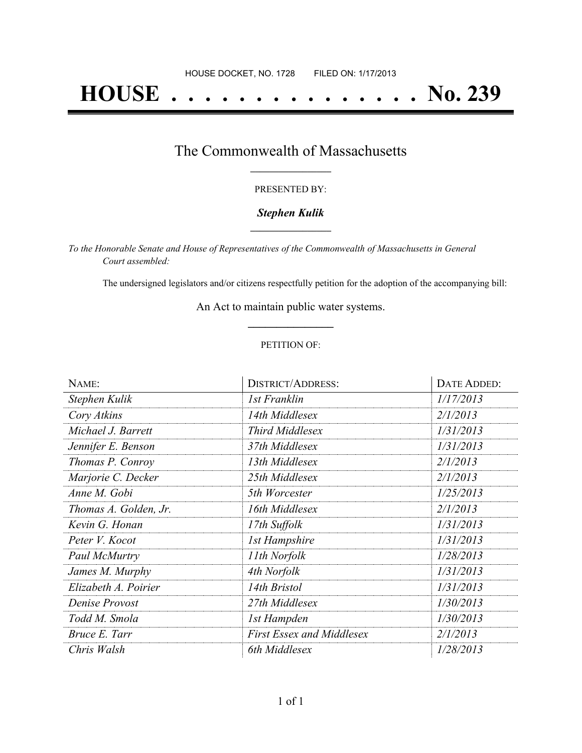# **HOUSE . . . . . . . . . . . . . . . No. 239**

### The Commonwealth of Massachusetts **\_\_\_\_\_\_\_\_\_\_\_\_\_\_\_\_\_**

#### PRESENTED BY:

#### *Stephen Kulik* **\_\_\_\_\_\_\_\_\_\_\_\_\_\_\_\_\_**

*To the Honorable Senate and House of Representatives of the Commonwealth of Massachusetts in General Court assembled:*

The undersigned legislators and/or citizens respectfully petition for the adoption of the accompanying bill:

An Act to maintain public water systems. **\_\_\_\_\_\_\_\_\_\_\_\_\_\_\_**

#### PETITION OF:

| NAME:                 | <b>DISTRICT/ADDRESS:</b>         | DATE ADDED: |
|-----------------------|----------------------------------|-------------|
| Stephen Kulik         | 1st Franklin                     | 1/17/2013   |
| Cory Atkins           | 14th Middlesex                   | 2/1/2013    |
| Michael J. Barrett    | <b>Third Middlesex</b>           | 1/31/2013   |
| Jennifer E. Benson    | 37th Middlesex                   | 1/31/2013   |
| Thomas P. Conroy      | 13th Middlesex                   | 2/1/2013    |
| Marjorie C. Decker    | 25th Middlesex                   | 2/1/2013    |
| Anne M. Gobi          | 5th Worcester                    | 1/25/2013   |
| Thomas A. Golden, Jr. | 16th Middlesex                   | 2/1/2013    |
| Kevin G. Honan        | 17th Suffolk                     | 1/31/2013   |
| Peter V. Kocot        | 1st Hampshire                    | 1/31/2013   |
| Paul McMurtry         | 11th Norfolk                     | 1/28/2013   |
| James M. Murphy       | 4th Norfolk                      | 1/31/2013   |
| Elizabeth A. Poirier  | 14th Bristol                     | 1/31/2013   |
| Denise Provost        | 27th Middlesex                   | 1/30/2013   |
| Todd M. Smola         | 1st Hampden                      | 1/30/2013   |
| Bruce E. Tarr         | <b>First Essex and Middlesex</b> | 2/1/2013    |
| Chris Walsh           | 6th Middlesex                    | 1/28/2013   |